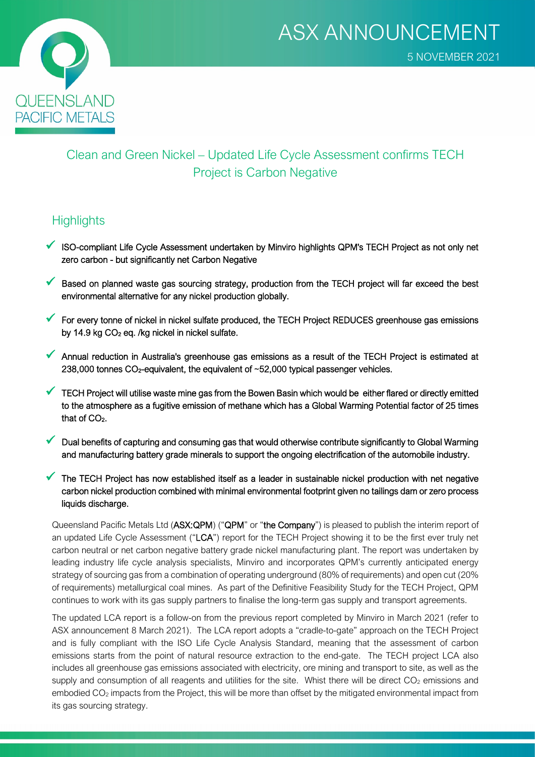

## Clean and Green Nickel – Updated Life Cycle Assessment confirms TECH Project is Carbon Negative

## **Highlights**

- ISO-compliant Life Cycle Assessment undertaken by Minviro highlights QPM's TECH Project as not only net zero carbon - but significantly net Carbon Negative
- $\checkmark$  Based on planned waste gas sourcing strategy, production from the TECH project will far exceed the best environmental alternative for any nickel production globally.
- $\checkmark$  For every tonne of nickel in nickel sulfate produced, the TECH Project REDUCES greenhouse gas emissions by 14.9 kg  $CO<sub>2</sub>$  eg. /kg nickel in nickel sulfate.
- Annual reduction in Australia's greenhouse gas emissions as a result of the TECH Project is estimated at 238,000 tonnes CO<sub>2</sub>-equivalent, the equivalent of ~52,000 typical passenger vehicles.
- $\checkmark$  TECH Project will utilise waste mine gas from the Bowen Basin which would be either flared or directly emitted to the atmosphere as a fugitive emission of methane which has a Global Warming Potential factor of 25 times that of CO<sub>2</sub>.
- Dual benefits of capturing and consuming gas that would otherwise contribute significantly to Global Warming and manufacturing battery grade minerals to support the ongoing electrification of the automobile industry.
- The TECH Project has now established itself as a leader in sustainable nickel production with net negative carbon nickel production combined with minimal environmental footprint given no tailings dam or zero process liquids discharge.

Queensland Pacific Metals Ltd (ASX:QPM) ("QPM" or "the Company") is pleased to publish the interim report of an updated Life Cycle Assessment ("LCA") report for the TECH Project showing it to be the first ever truly net carbon neutral or net carbon negative battery grade nickel manufacturing plant. The report was undertaken by leading industry life cycle analysis specialists, Minviro and incorporates QPM's currently anticipated energy strategy of sourcing gas from a combination of operating underground (80% of requirements) and open cut (20% of requirements) metallurgical coal mines. As part of the Definitive Feasibility Study for the TECH Project, QPM continues to work with its gas supply partners to finalise the long-term gas supply and transport agreements.

The updated LCA report is a follow-on from the previous report completed by Minviro in March 2021 (refer to ASX announcement 8 March 2021). The LCA report adopts a "cradle-to-gate" approach on the TECH Project and is fully compliant with the ISO Life Cycle Analysis Standard, meaning that the assessment of carbon emissions starts from the point of natural resource extraction to the end-gate. The TECH project LCA also includes all greenhouse gas emissions associated with electricity, ore mining and transport to site, as well as the supply and consumption of all reagents and utilities for the site. Whist there will be direct  $CO<sub>2</sub>$  emissions and embodied CO<sub>2</sub> impacts from the Project, this will be more than offset by the mitigated environmental impact from its gas sourcing strategy.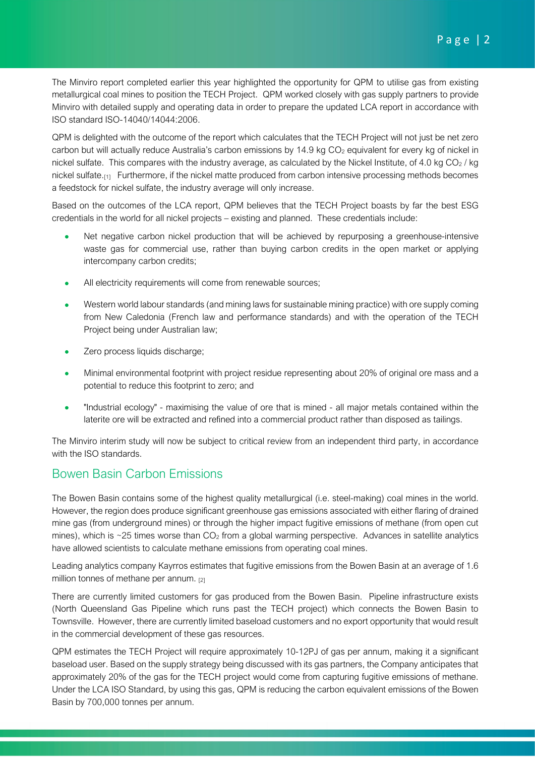The Minviro report completed earlier this year highlighted the opportunity for QPM to utilise gas from existing metallurgical coal mines to position the TECH Project. QPM worked closely with gas supply partners to provide Minviro with detailed supply and operating data in order to prepare the updated LCA report in accordance with ISO standard ISO-14040/14044:2006.

QPM is delighted with the outcome of the report which calculates that the TECH Project will not just be net zero carbon but will actually reduce Australia's carbon emissions by 14.9 kg CO<sub>2</sub> equivalent for every kg of nickel in nickel sulfate. This compares with the industry average, as calculated by the Nickel Institute, of 4.0 kg  $CO<sub>2</sub>$ /kg nickel sulfate.<sup>[1]</sup> Furthermore, if the nickel matte produced from carbon intensive processing methods becomes a feedstock for nickel sulfate, the industry average will only increase.

Based on the outcomes of the LCA report, QPM believes that the TECH Project boasts by far the best ESG credentials in the world for all nickel projects – existing and planned. These credentials include:

- Net negative carbon nickel production that will be achieved by repurposing a greenhouse-intensive waste gas for commercial use, rather than buying carbon credits in the open market or applying intercompany carbon credits;
- All electricity requirements will come from renewable sources:
- Western world labour standards (and mining laws for sustainable mining practice) with ore supply coming from New Caledonia (French law and performance standards) and with the operation of the TECH Project being under Australian law;
- Zero process liquids discharge;
- Minimal environmental footprint with project residue representing about 20% of original ore mass and a potential to reduce this footprint to zero; and
- "Industrial ecology" maximising the value of ore that is mined all major metals contained within the laterite ore will be extracted and refined into a commercial product rather than disposed as tailings.

The Minviro interim study will now be subject to critical review from an independent third party, in accordance with the ISO standards.

## Bowen Basin Carbon Emissions

The Bowen Basin contains some of the highest quality metallurgical (i.e. steel-making) coal mines in the world. However, the region does produce significant greenhouse gas emissions associated with either flaring of drained mine gas (from underground mines) or through the higher impact fugitive emissions of methane (from open cut mines), which is ~25 times worse than  $CO<sub>2</sub>$  from a global warming perspective. Advances in satellite analytics have allowed scientists to calculate methane emissions from operating coal mines.

Leading analytics company Kayrros estimates that fugitive emissions from the Bowen Basin at an average of 1.6 million tonnes of methane per annum. [2]

There are currently limited customers for gas produced from the Bowen Basin. Pipeline infrastructure exists (North Queensland Gas Pipeline which runs past the TECH project) which connects the Bowen Basin to Townsville. However, there are currently limited baseload customers and no export opportunity that would result in the commercial development of these gas resources.

QPM estimates the TECH Project will require approximately 10-12PJ of gas per annum, making it a significant baseload user. Based on the supply strategy being discussed with its gas partners, the Company anticipates that approximately 20% of the gas for the TECH project would come from capturing fugitive emissions of methane. Under the LCA ISO Standard, by using this gas, QPM is reducing the carbon equivalent emissions of the Bowen Basin by 700,000 tonnes per annum.